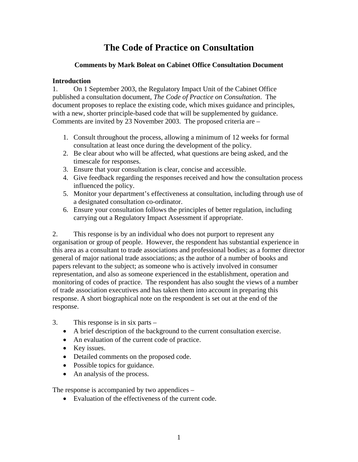# **The Code of Practice on Consultation**

## **Comments by Mark Boleat on Cabinet Office Consultation Document**

## **Introduction**

1. On 1 September 2003, the Regulatory Impact Unit of the Cabinet Office published a consultation document, *The Code of Practice on Consultation*. The document proposes to replace the existing code, which mixes guidance and principles, with a new, shorter principle-based code that will be supplemented by guidance. Comments are invited by 23 November 2003. The proposed criteria are –

- 1. Consult throughout the process, allowing a minimum of 12 weeks for formal consultation at least once during the development of the policy.
- 2. Be clear about who will be affected, what questions are being asked, and the timescale for responses.
- 3. Ensure that your consultation is clear, concise and accessible.
- 4. Give feedback regarding the responses received and how the consultation process influenced the policy.
- 5. Monitor your department's effectiveness at consultation, including through use of a designated consultation co-ordinator.
- 6. Ensure your consultation follows the principles of better regulation, including carrying out a Regulatory Impact Assessment if appropriate.

2. This response is by an individual who does not purport to represent any organisation or group of people. However, the respondent has substantial experience in this area as a consultant to trade associations and professional bodies; as a former director general of major national trade associations; as the author of a number of books and papers relevant to the subject; as someone who is actively involved in consumer representation, and also as someone experienced in the establishment, operation and monitoring of codes of practice. The respondent has also sought the views of a number of trade association executives and has taken them into account in preparing this response. A short biographical note on the respondent is set out at the end of the response.

- 3. This response is in six parts
	- A brief description of the background to the current consultation exercise.
	- An evaluation of the current code of practice.
	- Key issues.
	- Detailed comments on the proposed code.
	- Possible topics for guidance.
	- An analysis of the process.

The response is accompanied by two appendices –

• Evaluation of the effectiveness of the current code.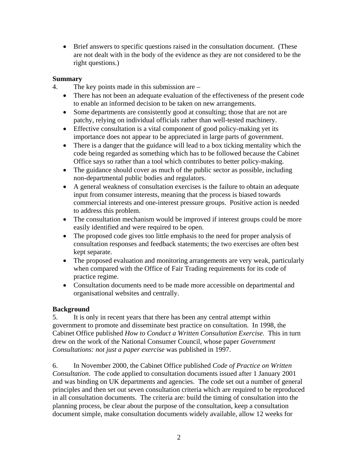• Brief answers to specific questions raised in the consultation document. (These are not dealt with in the body of the evidence as they are not considered to be the right questions.)

## **Summary**

- 4. The key points made in this submission are
	- There has not been an adequate evaluation of the effectiveness of the present code to enable an informed decision to be taken on new arrangements.
	- Some departments are consistently good at consulting; those that are not are patchy, relying on individual officials rather than well-tested machinery.
	- Effective consultation is a vital component of good policy-making yet its importance does not appear to be appreciated in large parts of government.
	- There is a danger that the guidance will lead to a box ticking mentality which the code being regarded as something which has to be followed because the Cabinet Office says so rather than a tool which contributes to better policy-making.
	- The guidance should cover as much of the public sector as possible, including non-departmental public bodies and regulators.
	- A general weakness of consultation exercises is the failure to obtain an adequate input from consumer interests, meaning that the process is biased towards commercial interests and one-interest pressure groups. Positive action is needed to address this problem.
	- The consultation mechanism would be improved if interest groups could be more easily identified and were required to be open.
	- The proposed code gives too little emphasis to the need for proper analysis of consultation responses and feedback statements; the two exercises are often best kept separate.
	- The proposed evaluation and monitoring arrangements are very weak, particularly when compared with the Office of Fair Trading requirements for its code of practice regime.
	- Consultation documents need to be made more accessible on departmental and organisational websites and centrally.

#### **Background**

5. It is only in recent years that there has been any central attempt within government to promote and disseminate best practice on consultation. In 1998, the Cabinet Office published *How to Conduct a Written Consultation Exercise*. This in turn drew on the work of the National Consumer Council, whose paper *Government Consultations: not just a paper exercise* was published in 1997.

6. In November 2000, the Cabinet Office published *Code of Practice on Written Consultation*. The code applied to consultation documents issued after 1 January 2001 and was binding on UK departments and agencies. The code set out a number of general principles and then set out seven consultation criteria which are required to be reproduced in all consultation documents. The criteria are: build the timing of consultation into the planning process, be clear about the purpose of the consultation, keep a consultation document simple, make consultation documents widely available, allow 12 weeks for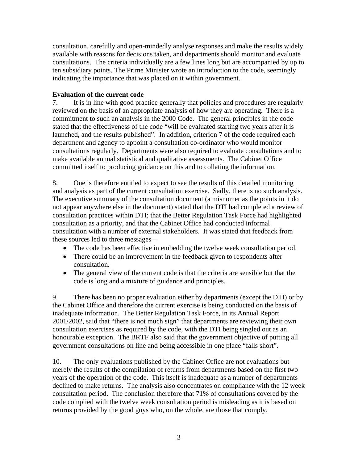consultation, carefully and open-mindedly analyse responses and make the results widely available with reasons for decisions taken, and departments should monitor and evaluate consultations. The criteria individually are a few lines long but are accompanied by up to ten subsidiary points. The Prime Minister wrote an introduction to the code, seemingly indicating the importance that was placed on it within government.

## **Evaluation of the current code**

7. It is in line with good practice generally that policies and procedures are regularly reviewed on the basis of an appropriate analysis of how they are operating. There is a commitment to such an analysis in the 2000 Code. The general principles in the code stated that the effectiveness of the code "will be evaluated starting two years after it is launched, and the results published". In addition, criterion 7 of the code required each department and agency to appoint a consultation co-ordinator who would monitor consultations regularly. Departments were also required to evaluate consultations and to make available annual statistical and qualitative assessments. The Cabinet Office committed itself to producing guidance on this and to collating the information.

8. One is therefore entitled to expect to see the results of this detailed monitoring and analysis as part of the current consultation exercise. Sadly, there is no such analysis. The executive summary of the consultation document (a misnomer as the points in it do not appear anywhere else in the document) stated that the DTI had completed a review of consultation practices within DTI; that the Better Regulation Task Force had highlighted consultation as a priority, and that the Cabinet Office had conducted informal consultation with a number of external stakeholders. It was stated that feedback from these sources led to three messages –

- The code has been effective in embedding the twelve week consultation period.
- There could be an improvement in the feedback given to respondents after consultation.
- The general view of the current code is that the criteria are sensible but that the code is long and a mixture of guidance and principles.

9. There has been no proper evaluation either by departments (except the DTI) or by the Cabinet Office and therefore the current exercise is being conducted on the basis of inadequate information. The Better Regulation Task Force, in its Annual Report 2001/2002, said that "there is not much sign" that departments are reviewing their own consultation exercises as required by the code, with the DTI being singled out as an honourable exception. The BRTF also said that the government objective of putting all government consultations on line and being accessible in one place "falls short".

10. The only evaluations published by the Cabinet Office are not evaluations but merely the results of the compilation of returns from departments based on the first two years of the operation of the code. This itself is inadequate as a number of departments declined to make returns. The analysis also concentrates on compliance with the 12 week consultation period. The conclusion therefore that 71% of consultations covered by the code complied with the twelve week consultation period is misleading as it is based on returns provided by the good guys who, on the whole, are those that comply.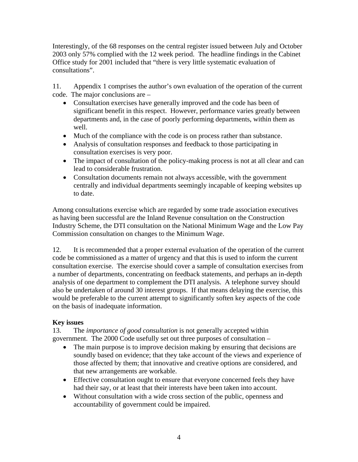Interestingly, of the 68 responses on the central register issued between July and October 2003 only 57% complied with the 12 week period. The headline findings in the Cabinet Office study for 2001 included that "there is very little systematic evaluation of consultations".

11. Appendix 1 comprises the author's own evaluation of the operation of the current code. The major conclusions are –

- Consultation exercises have generally improved and the code has been of significant benefit in this respect. However, performance varies greatly between departments and, in the case of poorly performing departments, within them as well.
- Much of the compliance with the code is on process rather than substance.
- Analysis of consultation responses and feedback to those participating in consultation exercises is very poor.
- The impact of consultation of the policy-making process is not at all clear and can lead to considerable frustration.
- Consultation documents remain not always accessible, with the government centrally and individual departments seemingly incapable of keeping websites up to date.

Among consultations exercise which are regarded by some trade association executives as having been successful are the Inland Revenue consultation on the Construction Industry Scheme, the DTI consultation on the National Minimum Wage and the Low Pay Commission consultation on changes to the Minimum Wage.

12. It is recommended that a proper external evaluation of the operation of the current code be commissioned as a matter of urgency and that this is used to inform the current consultation exercise. The exercise should cover a sample of consultation exercises from a number of departments, concentrating on feedback statements, and perhaps an in-depth analysis of one department to complement the DTI analysis. A telephone survey should also be undertaken of around 30 interest groups. If that means delaying the exercise, this would be preferable to the current attempt to significantly soften key aspects of the code on the basis of inadequate information.

## **Key issues**

13. The *importance of good consultation* is not generally accepted within government. The 2000 Code usefully set out three purposes of consultation –

- The main purpose is to improve decision making by ensuring that decisions are soundly based on evidence; that they take account of the views and experience of those affected by them; that innovative and creative options are considered, and that new arrangements are workable.
- Effective consultation ought to ensure that everyone concerned feels they have had their say, or at least that their interests have been taken into account.
- Without consultation with a wide cross section of the public, openness and accountability of government could be impaired.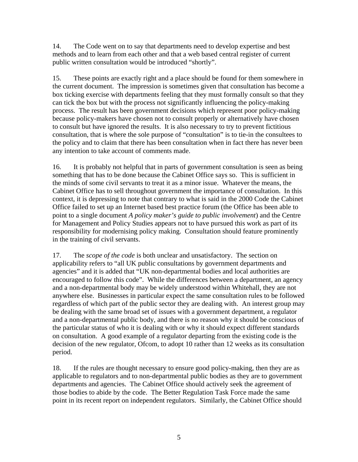14. The Code went on to say that departments need to develop expertise and best methods and to learn from each other and that a web based central register of current public written consultation would be introduced "shortly".

15. These points are exactly right and a place should be found for them somewhere in the current document. The impression is sometimes given that consultation has become a box ticking exercise with departments feeling that they must formally consult so that they can tick the box but with the process not significantly influencing the policy-making process. The result has been government decisions which represent poor policy-making because policy-makers have chosen not to consult properly or alternatively have chosen to consult but have ignored the results. It is also necessary to try to prevent fictitious consultation, that is where the sole purpose of "consultation" is to tie-in the consultees to the policy and to claim that there has been consultation when in fact there has never been any intention to take account of comments made.

16. It is probably not helpful that in parts of government consultation is seen as being something that has to be done because the Cabinet Office says so. This is sufficient in the minds of some civil servants to treat it as a minor issue. Whatever the means, the Cabinet Office has to sell throughout government the importance of consultation. In this context, it is depressing to note that contrary to what is said in the 2000 Code the Cabinet Office failed to set up an Internet based best practice forum (the Office has been able to point to a single document *A policy maker's guide to public involvement*) and the Centre for Management and Policy Studies appears not to have pursued this work as part of its responsibility for modernising policy making. Consultation should feature prominently in the training of civil servants.

17. The *scope of the code* is both unclear and unsatisfactory. The section on applicability refers to "all UK public consultations by government departments and agencies" and it is added that "UK non-departmental bodies and local authorities are encouraged to follow this code". While the differences between a department, an agency and a non-departmental body may be widely understood within Whitehall, they are not anywhere else. Businesses in particular expect the same consultation rules to be followed regardless of which part of the public sector they are dealing with. An interest group may be dealing with the same broad set of issues with a government department, a regulator and a non-departmental public body, and there is no reason why it should be conscious of the particular status of who it is dealing with or why it should expect different standards on consultation. A good example of a regulator departing from the existing code is the decision of the new regulator, Ofcom, to adopt 10 rather than 12 weeks as its consultation period.

18. If the rules are thought necessary to ensure good policy-making, then they are as applicable to regulators and to non-departmental public bodies as they are to government departments and agencies. The Cabinet Office should actively seek the agreement of those bodies to abide by the code. The Better Regulation Task Force made the same point in its recent report on independent regulators. Similarly, the Cabinet Office should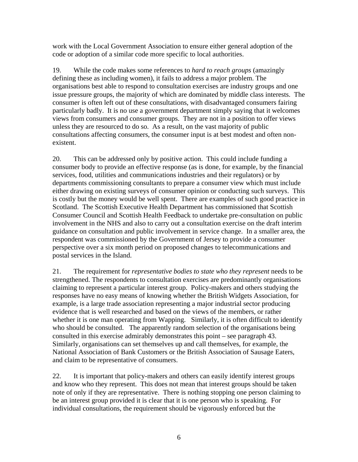work with the Local Government Association to ensure either general adoption of the code or adoption of a similar code more specific to local authorities.

19. While the code makes some references to *hard to reach groups* (amazingly defining these as including women), it fails to address a major problem. The organisations best able to respond to consultation exercises are industry groups and one issue pressure groups, the majority of which are dominated by middle class interests. The consumer is often left out of these consultations, with disadvantaged consumers fairing particularly badly. It is no use a government department simply saying that it welcomes views from consumers and consumer groups. They are not in a position to offer views unless they are resourced to do so. As a result, on the vast majority of public consultations affecting consumers, the consumer input is at best modest and often nonexistent.

20. This can be addressed only by positive action. This could include funding a consumer body to provide an effective response (as is done, for example, by the financial services, food, utilities and communications industries and their regulators) or by departments commissioning consultants to prepare a consumer view which must include either drawing on existing surveys of consumer opinion or conducting such surveys. This is costly but the money would be well spent. There are examples of such good practice in Scotland. The Scottish Executive Health Department has commissioned that Scottish Consumer Council and Scottish Health Feedback to undertake pre-consultation on public involvement in the NHS and also to carry out a consultation exercise on the draft interim guidance on consultation and public involvement in service change. In a smaller area, the respondent was commissioned by the Government of Jersey to provide a consumer perspective over a six month period on proposed changes to telecommunications and postal services in the Island.

21. The requirement for *representative bodies to state who they represent* needs to be strengthened. The respondents to consultation exercises are predominantly organisations claiming to represent a particular interest group. Policy-makers and others studying the responses have no easy means of knowing whether the British Widgets Association, for example, is a large trade association representing a major industrial sector producing evidence that is well researched and based on the views of the members, or rather whether it is one man operating from Wapping. Similarly, it is often difficult to identify who should be consulted. The apparently random selection of the organisations being consulted in this exercise admirably demonstrates this point – see paragraph 43. Similarly, organisations can set themselves up and call themselves, for example, the National Association of Bank Customers or the British Association of Sausage Eaters, and claim to be representative of consumers.

22. It is important that policy-makers and others can easily identify interest groups and know who they represent. This does not mean that interest groups should be taken note of only if they are representative. There is nothing stopping one person claiming to be an interest group provided it is clear that it is one person who is speaking. For individual consultations, the requirement should be vigorously enforced but the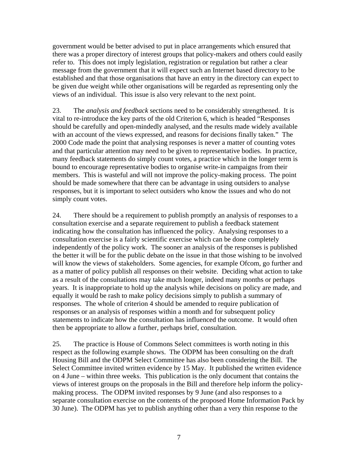government would be better advised to put in place arrangements which ensured that there was a proper directory of interest groups that policy-makers and others could easily refer to. This does not imply legislation, registration or regulation but rather a clear message from the government that it will expect such an Internet based directory to be established and that those organisations that have an entry in the directory can expect to be given due weight while other organisations will be regarded as representing only the views of an individual. This issue is also very relevant to the next point.

23. The *analysis and feedback* sections need to be considerably strengthened. It is vital to re-introduce the key parts of the old Criterion 6, which is headed "Responses should be carefully and open-mindedly analysed, and the results made widely available with an account of the views expressed, and reasons for decisions finally taken." The 2000 Code made the point that analysing responses is never a matter of counting votes and that particular attention may need to be given to representative bodies. In practice, many feedback statements do simply count votes, a practice which in the longer term is bound to encourage representative bodies to organise write-in campaigns from their members. This is wasteful and will not improve the policy-making process. The point should be made somewhere that there can be advantage in using outsiders to analyse responses, but it is important to select outsiders who know the issues and who do not simply count votes.

24. There should be a requirement to publish promptly an analysis of responses to a consultation exercise and a separate requirement to publish a feedback statement indicating how the consultation has influenced the policy. Analysing responses to a consultation exercise is a fairly scientific exercise which can be done completely independently of the policy work. The sooner an analysis of the responses is published the better it will be for the public debate on the issue in that those wishing to be involved will know the views of stakeholders. Some agencies, for example Ofcom, go further and as a matter of policy publish all responses on their website. Deciding what action to take as a result of the consultations may take much longer, indeed many months or perhaps years. It is inappropriate to hold up the analysis while decisions on policy are made, and equally it would be rash to make policy decisions simply to publish a summary of responses. The whole of criterion 4 should be amended to require publication of responses or an analysis of responses within a month and for subsequent policy statements to indicate how the consultation has influenced the outcome. It would often then be appropriate to allow a further, perhaps brief, consultation.

25. The practice is House of Commons Select committees is worth noting in this respect as the following example shows. The ODPM has been consulting on the draft Housing Bill and the ODPM Select Committee has also been considering the Bill. The Select Committee invited written evidence by 15 May. It published the written evidence on 4 June – within three weeks. This publication is the only document that contains the views of interest groups on the proposals in the Bill and therefore help inform the policymaking process. The ODPM invited responses by 9 June (and also responses to a separate consultation exercise on the contents of the proposed Home Information Pack by 30 June). The ODPM has yet to publish anything other than a very thin response to the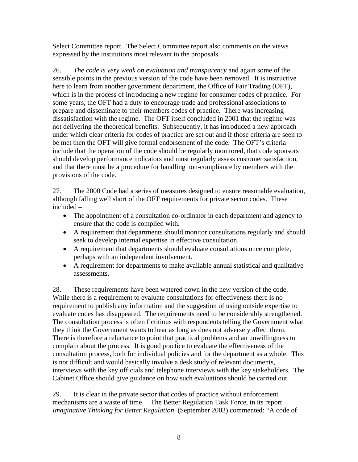Select Committee report. The Select Committee report also comments on the views expressed by the institutions most relevant to the proposals.

26. *The code is very weak on evaluation and transparency* and again some of the sensible points in the previous version of the code have been removed. It is instructive here to learn from another government department, the Office of Fair Trading (OFT), which is in the process of introducing a new regime for consumer codes of practice. For some years, the OFT had a duty to encourage trade and professional associations to prepare and disseminate to their members codes of practice. There was increasing dissatisfaction with the regime. The OFT itself concluded in 2001 that the regime was not delivering the theoretical benefits. Subsequently, it has introduced a new approach under which clear criteria for codes of practice are set out and if those criteria are seen to be met then the OFT will give formal endorsement of the code. The OFT's criteria include that the operation of the code should be regularly monitored, that code sponsors should develop performance indicators and must regularly assess customer satisfaction, and that there must be a procedure for handling non-compliance by members with the provisions of the code.

27. The 2000 Code had a series of measures designed to ensure reasonable evaluation, although falling well short of the OFT requirements for private sector codes. These included –

- The appointment of a consultation co-ordinator in each department and agency to ensure that the code is complied with.
- A requirement that departments should monitor consultations regularly and should seek to develop internal expertise in effective consultation.
- A requirement that departments should evaluate consultations once complete, perhaps with an independent involvement.
- A requirement for departments to make available annual statistical and qualitative assessments.

28. These requirements have been watered down in the new version of the code. While there is a requirement to evaluate consultations for effectiveness there is no requirement to publish any information and the suggestion of using outside expertise to evaluate codes has disappeared. The requirements need to be considerably strengthened. The consultation process is often fictitious with respondents telling the Government what they think the Government wants to hear as long as does not adversely affect them. There is therefore a reluctance to point that practical problems and an unwillingness to complain about the process. It is good practice to evaluate the effectiveness of the consultation process, both for individual policies and for the department as a whole. This is not difficult and would basically involve a desk study of relevant documents, interviews with the key officials and telephone interviews with the key stakeholders. The Cabinet Office should give guidance on how such evaluations should be carried out.

29. It is clear in the private sector that codes of practice without enforcement mechanisms are a waste of time. The Better Regulation Task Force, in its report *Imaginative Thinking for Better Regulation* (September 2003) commented: "A code of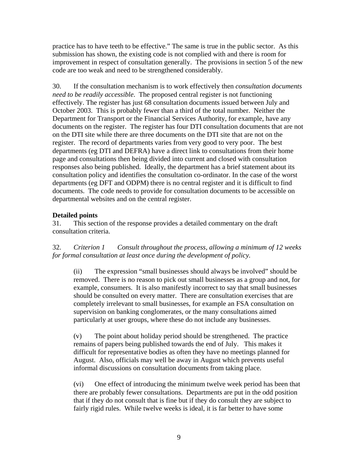practice has to have teeth to be effective." The same is true in the public sector. As this submission has shown, the existing code is not complied with and there is room for improvement in respect of consultation generally. The provisions in section 5 of the new code are too weak and need to be strengthened considerably.

30. If the consultation mechanism is to work effectively then *consultation documents need to be readily accessible*. The proposed central register is not functioning effectively. The register has just 68 consultation documents issued between July and October 2003. This is probably fewer than a third of the total number. Neither the Department for Transport or the Financial Services Authority, for example, have any documents on the register. The register has four DTI consultation documents that are not on the DTI site while there are three documents on the DTI site that are not on the register. The record of departments varies from very good to very poor. The best departments (eg DTI and DEFRA) have a direct link to consultations from their home page and consultations then being divided into current and closed with consultation responses also being published. Ideally, the department has a brief statement about its consultation policy and identifies the consultation co-ordinator. In the case of the worst departments (eg DFT and ODPM) there is no central register and it is difficult to find documents. The code needs to provide for consultation documents to be accessible on departmental websites and on the central register.

## **Detailed points**

31. This section of the response provides a detailed commentary on the draft consultation criteria.

32. *Criterion 1 Consult throughout the process, allowing a minimum of 12 weeks for formal consultation at least once during the development of policy.*

(ii) The expression "small businesses should always be involved" should be removed. There is no reason to pick out small businesses as a group and not, for example, consumers. It is also manifestly incorrect to say that small businesses should be consulted on every matter. There are consultation exercises that are completely irrelevant to small businesses, for example an FSA consultation on supervision on banking conglomerates, or the many consultations aimed particularly at user groups, where these do not include any businesses.

(v) The point about holiday period should be strengthened. The practice remains of papers being published towards the end of July. This makes it difficult for representative bodies as often they have no meetings planned for August. Also, officials may well be away in August which prevents useful informal discussions on consultation documents from taking place.

(vi) One effect of introducing the minimum twelve week period has been that there are probably fewer consultations. Departments are put in the odd position that if they do not consult that is fine but if they do consult they are subject to fairly rigid rules. While twelve weeks is ideal, it is far better to have some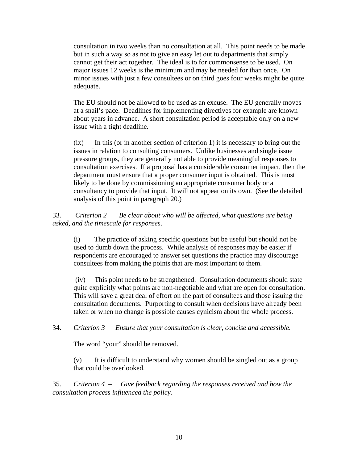consultation in two weeks than no consultation at all. This point needs to be made but in such a way so as not to give an easy let out to departments that simply cannot get their act together. The ideal is to for commonsense to be used. On major issues 12 weeks is the minimum and may be needed for than once. On minor issues with just a few consultees or on third goes four weeks might be quite adequate.

The EU should not be allowed to be used as an excuse. The EU generally moves at a snail's pace. Deadlines for implementing directives for example are known about years in advance. A short consultation period is acceptable only on a new issue with a tight deadline.

(ix) In this (or in another section of criterion 1) it is necessary to bring out the issues in relation to consulting consumers. Unlike businesses and single issue pressure groups, they are generally not able to provide meaningful responses to consultation exercises. If a proposal has a considerable consumer impact, then the department must ensure that a proper consumer input is obtained. This is most likely to be done by commissioning an appropriate consumer body or a consultancy to provide that input. It will not appear on its own. (See the detailed analysis of this point in paragraph 20.)

33. *Criterion 2 Be clear about who will be affected, what questions are being asked, and the timescale for responses*.

(i) The practice of asking specific questions but be useful but should not be used to dumb down the process. While analysis of responses may be easier if respondents are encouraged to answer set questions the practice may discourage consultees from making the points that are most important to them.

 (iv) This point needs to be strengthened. Consultation documents should state quite explicitly what points are non-negotiable and what are open for consultation. This will save a great deal of effort on the part of consultees and those issuing the consultation documents. Purporting to consult when decisions have already been taken or when no change is possible causes cynicism about the whole process.

#### 34. *Criterion 3 Ensure that your consultation is clear, concise and accessible.*

The word "your" should be removed.

(v) It is difficult to understand why women should be singled out as a group that could be overlooked.

35. *Criterion 4* – *Give feedback regarding the responses received and how the consultation process influenced the policy.*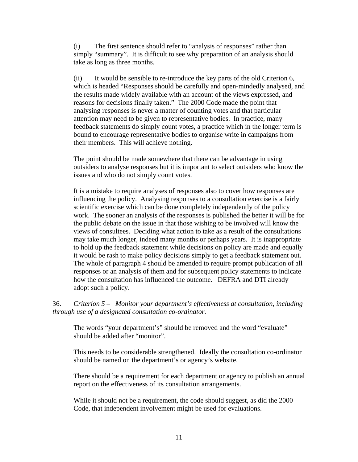(i) The first sentence should refer to "analysis of responses" rather than simply "summary". It is difficult to see why preparation of an analysis should take as long as three months.

(ii) It would be sensible to re-introduce the key parts of the old Criterion 6, which is headed "Responses should be carefully and open-mindedly analysed, and the results made widely available with an account of the views expressed, and reasons for decisions finally taken." The 2000 Code made the point that analysing responses is never a matter of counting votes and that particular attention may need to be given to representative bodies. In practice, many feedback statements do simply count votes, a practice which in the longer term is bound to encourage representative bodies to organise write in campaigns from their members. This will achieve nothing.

The point should be made somewhere that there can be advantage in using outsiders to analyse responses but it is important to select outsiders who know the issues and who do not simply count votes.

It is a mistake to require analyses of responses also to cover how responses are influencing the policy. Analysing responses to a consultation exercise is a fairly scientific exercise which can be done completely independently of the policy work. The sooner an analysis of the responses is published the better it will be for the public debate on the issue in that those wishing to be involved will know the views of consultees. Deciding what action to take as a result of the consultations may take much longer, indeed many months or perhaps years. It is inappropriate to hold up the feedback statement while decisions on policy are made and equally it would be rash to make policy decisions simply to get a feedback statement out. The whole of paragraph 4 should be amended to require prompt publication of all responses or an analysis of them and for subsequent policy statements to indicate how the consultation has influenced the outcome. DEFRA and DTI already adopt such a policy.

36. *Criterion 5* – *Monitor your department's effectiveness at consultation, including through use of a designated consultation co-ordinator.* 

The words "your department's" should be removed and the word "evaluate" should be added after "monitor".

This needs to be considerable strengthened. Ideally the consultation co-ordinator should be named on the department's or agency's website.

There should be a requirement for each department or agency to publish an annual report on the effectiveness of its consultation arrangements.

While it should not be a requirement, the code should suggest, as did the 2000 Code, that independent involvement might be used for evaluations.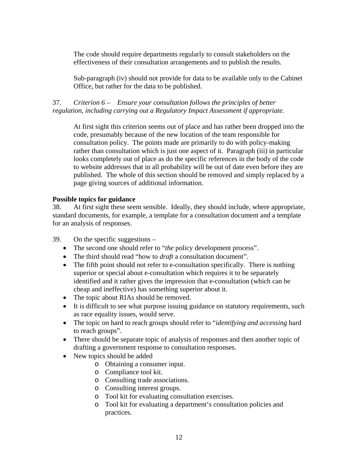The code should require departments regularly to consult stakeholders on the effectiveness of their consultation arrangements and to publish the results.

Sub-paragraph (iv) should not provide for data to be available only to the Cabinet Office, but rather for the data to be published.

## 37. *Criterion 6* – *Ensure your consultation follows the principles of better regulation, including carrying out a Regulatory Impact Assessment if appropriate.*

At first sight this criterion seems out of place and has rather been dropped into the code, presumably because of the new location of the team responsible for consultation policy. The points made are primarily to do with policy-making rather than consultation which is just one aspect of it. Paragraph (iii) in particular looks completely out of place as do the specific references in the body of the code to website addresses that in all probability will be out of date even before they are published. The whole of this section should be removed and simply replaced by a page giving sources of additional information.

## **Possible topics for guidance**

38. At first sight these seem sensible. Ideally, they should include, where appropriate, standard documents, for example, a template for a consultation document and a template for an analysis of responses.

39. On the specific suggestions –

- The second one should refer to "*the* policy development process".
- The third should read "how to *draft* a consultation document".
- The fifth point should not refer to e-consultation specifically. There is nothing superior or special about e-consultation which requires it to be separately identified and it rather gives the impression that e-consultation (which can be cheap and ineffective) has something superior about it.
- The topic about RIAs should be removed.
- It is difficult to see what purpose issuing guidance on statutory requirements, such as race equality issues, would serve.
- The topic on hard to reach groups should refer to "*identifying and accessing* hard to reach groups".
- There should be separate topic of analysis of responses and then another topic of drafting a government response to consultation responses.
- New topics should be added
	- o Obtaining a consumer input.
	- o Compliance tool kit.
	- o Consulting trade associations.
	- o Consulting interest groups.
	- o Tool kit for evaluating consultation exercises.
	- o Tool kit for evaluating a department's consultation policies and practices.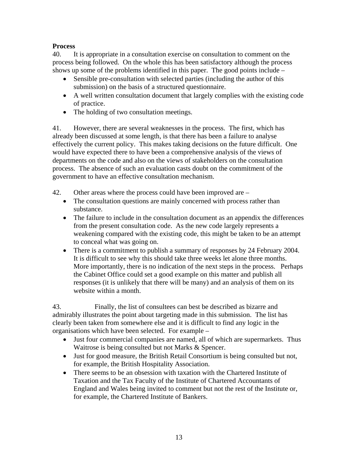## **Process**

40. It is appropriate in a consultation exercise on consultation to comment on the process being followed. On the whole this has been satisfactory although the process shows up some of the problems identified in this paper. The good points include –

- Sensible pre-consultation with selected parties (including the author of this submission) on the basis of a structured questionnaire.
- A well written consultation document that largely complies with the existing code of practice.
- The holding of two consultation meetings.

41. However, there are several weaknesses in the process. The first, which has already been discussed at some length, is that there has been a failure to analyse effectively the current policy. This makes taking decisions on the future difficult. One would have expected there to have been a comprehensive analysis of the views of departments on the code and also on the views of stakeholders on the consultation process. The absence of such an evaluation casts doubt on the commitment of the government to have an effective consultation mechanism.

- 42. Other areas where the process could have been improved are
	- The consultation questions are mainly concerned with process rather than substance.
	- The failure to include in the consultation document as an appendix the differences from the present consultation code. As the new code largely represents a weakening compared with the existing code, this might be taken to be an attempt to conceal what was going on.
	- There is a commitment to publish a summary of responses by 24 February 2004. It is difficult to see why this should take three weeks let alone three months. More importantly, there is no indication of the next steps in the process. Perhaps the Cabinet Office could set a good example on this matter and publish all responses (it is unlikely that there will be many) and an analysis of them on its website within a month.

43. Finally, the list of consultees can best be described as bizarre and admirably illustrates the point about targeting made in this submission. The list has clearly been taken from somewhere else and it is difficult to find any logic in the organisations which have been selected. For example –

- Just four commercial companies are named, all of which are supermarkets. Thus Waitrose is being consulted but not Marks & Spencer.
- Just for good measure, the British Retail Consortium is being consulted but not, for example, the British Hospitality Association.
- There seems to be an obsession with taxation with the Chartered Institute of Taxation and the Tax Faculty of the Institute of Chartered Accountants of England and Wales being invited to comment but not the rest of the Institute or, for example, the Chartered Institute of Bankers.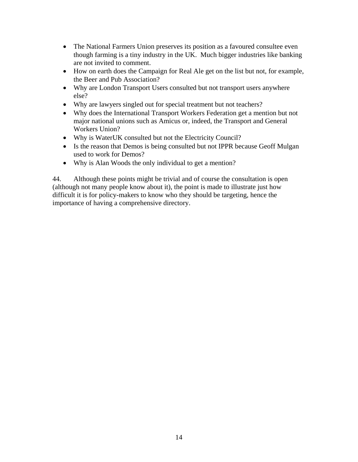- The National Farmers Union preserves its position as a favoured consultee even though farming is a tiny industry in the UK. Much bigger industries like banking are not invited to comment.
- How on earth does the Campaign for Real Ale get on the list but not, for example, the Beer and Pub Association?
- Why are London Transport Users consulted but not transport users anywhere else?
- Why are lawyers singled out for special treatment but not teachers?
- Why does the International Transport Workers Federation get a mention but not major national unions such as Amicus or, indeed, the Transport and General Workers Union?
- Why is WaterUK consulted but not the Electricity Council?
- Is the reason that Demos is being consulted but not IPPR because Geoff Mulgan used to work for Demos?
- Why is Alan Woods the only individual to get a mention?

44. Although these points might be trivial and of course the consultation is open (although not many people know about it), the point is made to illustrate just how difficult it is for policy-makers to know who they should be targeting, hence the importance of having a comprehensive directory.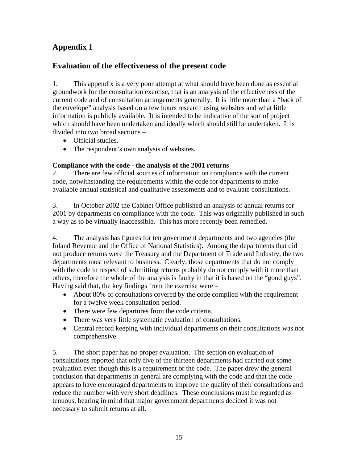# **Appendix 1**

## **Evaluation of the effectiveness of the present code**

1. This appendix is a very poor attempt at what should have been done as essential groundwork for the consultation exercise, that is an analysis of the effectiveness of the current code and of consultation arrangements generally. It is little more than a "back of the envelope" analysis based on a few hours research using websites and what little information is publicly available. It is intended to be indicative of the sort of project which should have been undertaken and ideally which should still be undertaken. It is divided into two broad sections –

- Official studies.
- The respondent's own analysis of websites.

## **Compliance with the code - the analysis of the 2001 returns**

2. There are few official sources of information on compliance with the current code, notwithstanding the requirements within the code for departments to make available annual statistical and qualitative assessments and to evaluate consultations.

3. In October 2002 the Cabinet Office published an analysis of annual returns for 2001 by departments on compliance with the code. This was originally published in such a way as to be virtually inaccessible. This has more recently been remedied.

4. The analysis has figures for ten government departments and two agencies (the Inland Revenue and the Office of National Statistics). Among the departments that did not produce returns were the Treasury and the Department of Trade and Industry, the two departments most relevant to business. Clearly, those departments that do not comply with the code in respect of submitting returns probably do not comply with it more than others, therefore the whole of the analysis is faulty in that it is based on the "good guys". Having said that, the key findings from the exercise were –

- About 80% of consultations covered by the code complied with the requirement for a twelve week consultation period.
- There were few departures from the code criteria.
- There was very little systematic evaluation of consultations.
- Central record keeping with individual departments on their consultations was not comprehensive.

5. The short paper has no proper evaluation. The section on evaluation of consultations reported that only five of the thirteen departments had carried out some evaluation even though this is a requirement or the code. The paper drew the general conclusion that departments in general are complying with the code and that the code appears to have encouraged departments to improve the quality of their consultations and reduce the number with very short deadlines. These conclusions must be regarded as tenuous, bearing in mind that major government departments decided it was not necessary to submit returns at all.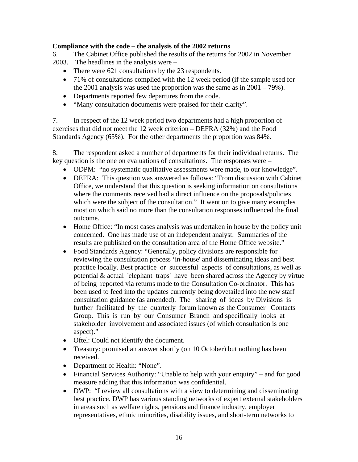## **Compliance with the code – the analysis of the 2002 returns**

6. The Cabinet Office published the results of the returns for 2002 in November

- 2003. The headlines in the analysis were
	- There were 621 consultations by the 23 respondents.
	- 71% of consultations complied with the 12 week period (if the sample used for the 2001 analysis was used the proportion was the same as in  $2001 - 79\%$ ).
	- Departments reported few departures from the code.
	- "Many consultation documents were praised for their clarity".

7. In respect of the 12 week period two departments had a high proportion of exercises that did not meet the 12 week criterion – DEFRA (32%) and the Food Standards Agency (65%). For the other departments the proportion was 84%.

8. The respondent asked a number of departments for their individual returns. The key question is the one on evaluations of consultations. The responses were –

- ODPM: "no systematic qualitative assessments were made, to our knowledge".
- DEFRA: This question was answered as follows: "From discussion with Cabinet Office, we understand that this question is seeking information on consultations where the comments received had a direct influence on the proposals/policies which were the subject of the consultation." It went on to give many examples most on which said no more than the consultation responses influenced the final outcome.
- Home Office: "In most cases analysis was undertaken in house by the policy unit concerned. One has made use of an independent analyst. Summaries of the results are published on the consultation area of the Home Office website."
- Food Standards Agency: "Generally, policy divisions are responsible for reviewing the consultation process 'in-house' and disseminating ideas and best practice locally. Best practice or successful aspects of consultations, as well as potential & actual 'elephant traps' have been shared across the Agency by virtue of being reported via returns made to the Consultation Co-ordinator. This has been used to feed into the updates currently being dovetailed into the new staff consultation guidance (as amended). The sharing of ideas by Divisions is further facilitated by the quarterly forum known as the Consumer Contacts Group. This is run by our Consumer Branch and specifically looks at stakeholder involvement and associated issues (of which consultation is one aspect)."
- Oftel: Could not identify the document.
- Treasury: promised an answer shortly (on 10 October) but nothing has been received.
- Department of Health: "None".
- Financial Services Authority: "Unable to help with your enquiry" and for good measure adding that this information was confidential.
- DWP: "I review all consultations with a view to determining and disseminating best practice. DWP has various standing networks of expert external stakeholders in areas such as welfare rights, pensions and finance industry, employer representatives, ethnic minorities, disability issues, and short-term networks to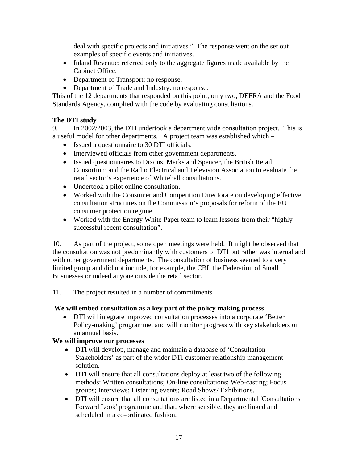deal with specific projects and initiatives." The response went on the set out examples of specific events and initiatives.

- Inland Revenue: referred only to the aggregate figures made available by the Cabinet Office.
- Department of Transport: no response.
- Department of Trade and Industry: no response.

This of the 12 departments that responded on this point, only two, DEFRA and the Food Standards Agency, complied with the code by evaluating consultations.

## **The DTI study**

9. In 2002/2003, the DTI undertook a department wide consultation project. This is a useful model for other departments. A project team was established which –

- Issued a questionnaire to 30 DTI officials.
- Interviewed officials from other government departments.
- Issued questionnaires to Dixons, Marks and Spencer, the British Retail Consortium and the Radio Electrical and Television Association to evaluate the retail sector's experience of Whitehall consultations.
- Undertook a pilot online consultation.
- Worked with the Consumer and Competition Directorate on developing effective consultation structures on the Commission's proposals for reform of the EU consumer protection regime.
- Worked with the Energy White Paper team to learn lessons from their "highly" successful recent consultation".

10. As part of the project, some open meetings were held. It might be observed that the consultation was not predominantly with customers of DTI but rather was internal and with other government departments. The consultation of business seemed to a very limited group and did not include, for example, the CBI, the Federation of Small Businesses or indeed anyone outside the retail sector.

11. The project resulted in a number of commitments –

## **We will embed consultation as a key part of the policy making process**

• DTI will integrate improved consultation processes into a corporate 'Better Policy-making' programme, and will monitor progress with key stakeholders on an annual basis.

## **We will improve our processes**

- DTI will develop, manage and maintain a database of 'Consultation Stakeholders' as part of the wider DTI customer relationship management solution.
- DTI will ensure that all consultations deploy at least two of the following methods: Written consultations; On-line consultations; Web-casting; Focus groups; Interviews; Listening events; Road Shows/ Exhibitions.
- DTI will ensure that all consultations are listed in a Departmental 'Consultations Forward Look' programme and that, where sensible, they are linked and scheduled in a co-ordinated fashion.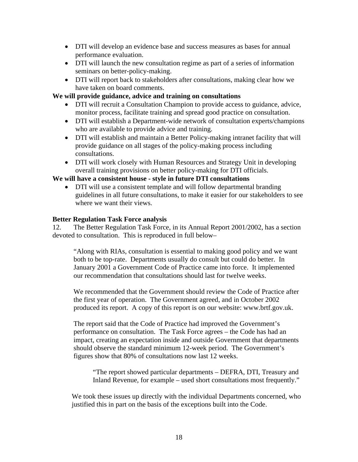- DTI will develop an evidence base and success measures as bases for annual performance evaluation.
- DTI will launch the new consultation regime as part of a series of information seminars on better-policy-making.
- DTI will report back to stakeholders after consultations, making clear how we have taken on board comments.

## **We will provide guidance, advice and training on consultations**

- DTI will recruit a Consultation Champion to provide access to guidance, advice, monitor process, facilitate training and spread good practice on consultation.
- DTI will establish a Department-wide network of consultation experts/champions who are available to provide advice and training.
- DTI will establish and maintain a Better Policy-making intranet facility that will provide guidance on all stages of the policy-making process including consultations.
- DTI will work closely with Human Resources and Strategy Unit in developing overall training provisions on better policy-making for DTI officials.

### **We will have a consistent house - style in future DTI consultations**

• DTI will use a consistent template and will follow departmental branding guidelines in all future consultations, to make it easier for our stakeholders to see where we want their views.

#### **Better Regulation Task Force analysis**

12. The Better Regulation Task Force, in its Annual Report 2001/2002, has a section devoted to consultation. This is reproduced in full below–

"Along with RIAs, consultation is essential to making good policy and we want both to be top-rate. Departments usually do consult but could do better. In January 2001 a Government Code of Practice came into force. It implemented our recommendation that consultations should last for twelve weeks.

We recommended that the Government should review the Code of Practice after the first year of operation. The Government agreed, and in October 2002 produced its report. A copy of this report is on our website: www.brtf.gov.uk.

The report said that the Code of Practice had improved the Government's performance on consultation. The Task Force agrees – the Code has had an impact, creating an expectation inside and outside Government that departments should observe the standard minimum 12-week period. The Government's figures show that 80% of consultations now last 12 weeks.

"The report showed particular departments – DEFRA, DTI, Treasury and Inland Revenue, for example – used short consultations most frequently."

We took these issues up directly with the individual Departments concerned, who justified this in part on the basis of the exceptions built into the Code.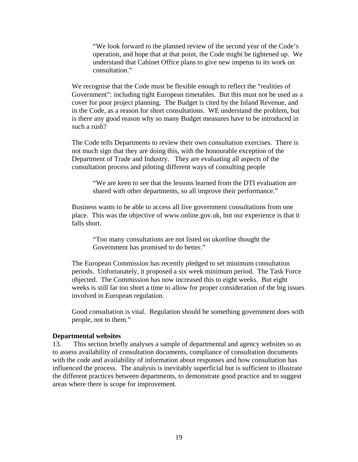"We look forward to the planned review of the second year of the Code's operation, and hope that at that point, the Code might be tightened up. We understand that Cabinet Office plans to give new impetus to its work on consultation."

We recognise that the Code must be flexible enough to reflect the "realities of Government": including tight European timetables. But this must not be used as a cover for poor project planning. The Budget is cited by the Inland Revenue, and in the Code, as a reason for short consultations. WE understand the problem, but is there any good reason why so many Budget measures have to be introduced in such a rush?

The Code tells Departments to review their own consultation exercises. There is not much sign that they are doing this, with the honourable exception of the Department of Trade and Industry. They are evaluating all aspects of the consultation process and piloting different ways of consulting people

"We are keen to see that the lessons learned from the DTI evaluation are shared with other departments, so all improve their performance."

Business wants to be able to access all live government consultations from one place. This was the objective of www.online.gov.uk, but our experience is that it falls short.

"Too many consultations are not listed on ukonline thought the Government has promised to do better."

The European Commission has recently pledged to set minimum consultation periods. Unfortunately, it proposed a six week minimum period. The Task Force objected. The Commission has now increased this to eight weeks. But eight weeks is still far too short a time to allow for proper consideration of the big issues involved in European regulation.

Good consultation is vital. Regulation should be something government does with people, not to them."

#### **Departmental websites**

13. This section briefly analyses a sample of departmental and agency websites so as to assess availability of consultation documents, compliance of consultation documents with the code and availability of information about responses and how consultation has influenced the process. The analysis is inevitably superficial but is sufficient to illustrate the different practices between departments, to demonstrate good practice and to suggest areas where there is scope for improvement.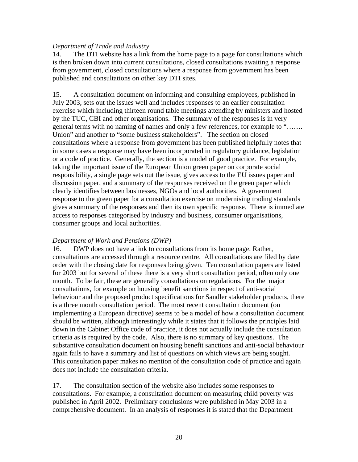#### *Department of Trade and Industry*

14. The DTI website has a link from the home page to a page for consultations which is then broken down into current consultations, closed consultations awaiting a response from government, closed consultations where a response from government has been published and consultations on other key DTI sites.

15. A consultation document on informing and consulting employees, published in July 2003, sets out the issues well and includes responses to an earlier consultation exercise which including thirteen round table meetings attending by ministers and hosted by the TUC, CBI and other organisations. The summary of the responses is in very general terms with no naming of names and only a few references, for example to "……. Union" and another to "some business stakeholders". The section on closed consultations where a response from government has been published helpfully notes that in some cases a response may have been incorporated in regulatory guidance, legislation or a code of practice. Generally, the section is a model of good practice. For example, taking the important issue of the European Union green paper on corporate social responsibility, a single page sets out the issue, gives access to the EU issues paper and discussion paper, and a summary of the responses received on the green paper which clearly identifies between businesses, NGOs and local authorities. A government response to the green paper for a consultation exercise on modernising trading standards gives a summary of the responses and then its own specific response. There is immediate access to responses categorised by industry and business, consumer organisations, consumer groups and local authorities.

#### *Department of Work and Pensions (DWP)*

16. DWP does not have a link to consultations from its home page. Rather, consultations are accessed through a resource centre. All consultations are filed by date order with the closing date for responses being given. Ten consultation papers are listed for 2003 but for several of these there is a very short consultation period, often only one month. To be fair, these are generally consultations on regulations. For the major consultations, for example on housing benefit sanctions in respect of anti-social behaviour and the proposed product specifications for Sandler stakeholder products, there is a three month consultation period. The most recent consultation document (on implementing a European directive) seems to be a model of how a consultation document should be written, although interestingly while it states that it follows the principles laid down in the Cabinet Office code of practice, it does not actually include the consultation criteria as is required by the code. Also, there is no summary of key questions. The substantive consultation document on housing benefit sanctions and anti-social behaviour again fails to have a summary and list of questions on which views are being sought. This consultation paper makes no mention of the consultation code of practice and again does not include the consultation criteria.

17. The consultation section of the website also includes some responses to consultations. For example, a consultation document on measuring child poverty was published in April 2002. Preliminary conclusions were published in May 2003 in a comprehensive document. In an analysis of responses it is stated that the Department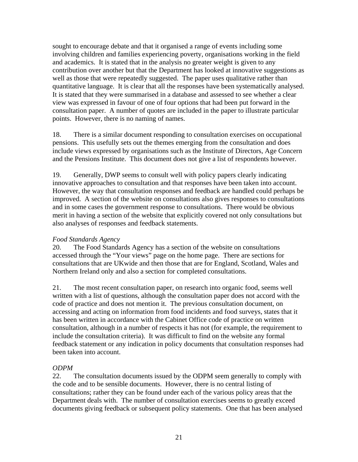sought to encourage debate and that it organised a range of events including some involving children and families experiencing poverty, organisations working in the field and academics. It is stated that in the analysis no greater weight is given to any contribution over another but that the Department has looked at innovative suggestions as well as those that were repeatedly suggested. The paper uses qualitative rather than quantitative language. It is clear that all the responses have been systematically analysed. It is stated that they were summarised in a database and assessed to see whether a clear view was expressed in favour of one of four options that had been put forward in the consultation paper. A number of quotes are included in the paper to illustrate particular points. However, there is no naming of names.

18. There is a similar document responding to consultation exercises on occupational pensions. This usefully sets out the themes emerging from the consultation and does include views expressed by organisations such as the Institute of Directors, Age Concern and the Pensions Institute. This document does not give a list of respondents however.

19. Generally, DWP seems to consult well with policy papers clearly indicating innovative approaches to consultation and that responses have been taken into account. However, the way that consultation responses and feedback are handled could perhaps be improved. A section of the website on consultations also gives responses to consultations and in some cases the government response to consultations. There would be obvious merit in having a section of the website that explicitly covered not only consultations but also analyses of responses and feedback statements.

## *Food Standards Agency*

20. The Food Standards Agency has a section of the website on consultations accessed through the "Your views" page on the home page. There are sections for consultations that are UKwide and then those that are for England, Scotland, Wales and Northern Ireland only and also a section for completed consultations.

21. The most recent consultation paper, on research into organic food, seems well written with a list of questions, although the consultation paper does not accord with the code of practice and does not mention it. The previous consultation document, on accessing and acting on information from food incidents and food surveys, states that it has been written in accordance with the Cabinet Office code of practice on written consultation, although in a number of respects it has not (for example, the requirement to include the consultation criteria). It was difficult to find on the website any formal feedback statement or any indication in policy documents that consultation responses had been taken into account.

## *ODPM*

22. The consultation documents issued by the ODPM seem generally to comply with the code and to be sensible documents. However, there is no central listing of consultations; rather they can be found under each of the various policy areas that the Department deals with. The number of consultation exercises seems to greatly exceed documents giving feedback or subsequent policy statements. One that has been analysed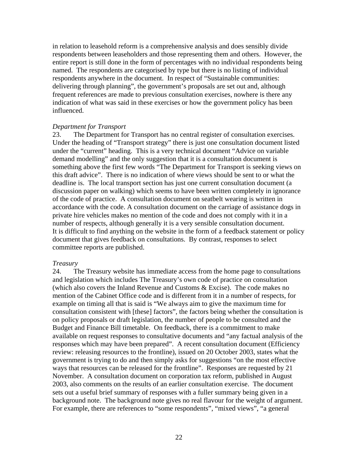in relation to leasehold reform is a comprehensive analysis and does sensibly divide respondents between leaseholders and those representing them and others. However, the entire report is still done in the form of percentages with no individual respondents being named. The respondents are categorised by type but there is no listing of individual respondents anywhere in the document. In respect of "Sustainable communities: delivering through planning", the government's proposals are set out and, although frequent references are made to previous consultation exercises, nowhere is there any indication of what was said in these exercises or how the government policy has been influenced.

#### *Department for Transport*

23. The Department for Transport has no central register of consultation exercises. Under the heading of "Transport strategy" there is just one consultation document listed under the "current" heading. This is a very technical document "Advice on variable demand modelling" and the only suggestion that it is a consultation document is something above the first few words "The Department for Transport is seeking views on this draft advice". There is no indication of where views should be sent to or what the deadline is. The local transport section has just one current consultation document (a discussion paper on walking) which seems to have been written completely in ignorance of the code of practice. A consultation document on seatbelt wearing is written in accordance with the code. A consultation document on the carriage of assistance dogs in private hire vehicles makes no mention of the code and does not comply with it in a number of respects, although generally it is a very sensible consultation document. It is difficult to find anything on the website in the form of a feedback statement or policy document that gives feedback on consultations. By contrast, responses to select committee reports are published.

#### *Treasury*

24. The Treasury website has immediate access from the home page to consultations and legislation which includes The Treasury's own code of practice on consultation (which also covers the Inland Revenue and Customs & Excise). The code makes no mention of the Cabinet Office code and is different from it in a number of respects, for example on timing all that is said is "We always aim to give the maximum time for consultation consistent with [these] factors", the factors being whether the consultation is on policy proposals or draft legislation, the number of people to be consulted and the Budget and Finance Bill timetable. On feedback, there is a commitment to make available on request responses to consultative documents and "any factual analysis of the responses which may have been prepared". A recent consultation document (Efficiency review: releasing resources to the frontline), issued on 20 October 2003, states what the government is trying to do and then simply asks for suggestions "on the most effective ways that resources can be released for the frontline". Responses are requested by 21 November. A consultation document on corporation tax reform, published in August 2003, also comments on the results of an earlier consultation exercise. The document sets out a useful brief summary of responses with a fuller summary being given in a background note. The background note gives no real flavour for the weight of argument. For example, there are references to "some respondents", "mixed views", "a general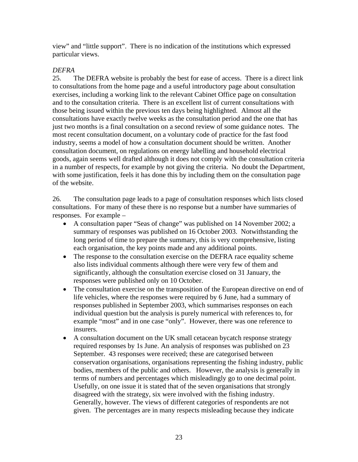view" and "little support". There is no indication of the institutions which expressed particular views.

## *DEFRA*

25. The DEFRA website is probably the best for ease of access. There is a direct link to consultations from the home page and a useful introductory page about consultation exercises, including a working link to the relevant Cabinet Office page on consultation and to the consultation criteria. There is an excellent list of current consultations with those being issued within the previous ten days being highlighted. Almost all the consultations have exactly twelve weeks as the consultation period and the one that has just two months is a final consultation on a second review of some guidance notes. The most recent consultation document, on a voluntary code of practice for the fast food industry, seems a model of how a consultation document should be written. Another consultation document, on regulations on energy labelling and household electrical goods, again seems well drafted although it does not comply with the consultation criteria in a number of respects, for example by not giving the criteria. No doubt the Department, with some justification, feels it has done this by including them on the consultation page of the website.

26. The consultation page leads to a page of consultation responses which lists closed consultations. For many of these there is no response but a number have summaries of responses. For example –

- A consultation paper "Seas of change" was published on 14 November 2002; a summary of responses was published on 16 October 2003. Notwithstanding the long period of time to prepare the summary, this is very comprehensive, listing each organisation, the key points made and any additional points.
- The response to the consultation exercise on the DEFRA race equality scheme also lists individual comments although there were very few of them and significantly, although the consultation exercise closed on 31 January, the responses were published only on 10 October.
- The consultation exercise on the transposition of the European directive on end of life vehicles, where the responses were required by 6 June, had a summary of responses published in September 2003, which summarises responses on each individual question but the analysis is purely numerical with references to, for example "most" and in one case "only". However, there was one reference to insurers.
- A consultation document on the UK small cetacean bycatch response strategy required responses by 1s June. An analysis of responses was published on 23 September. 43 responses were received; these are categorised between conservation organisations, organisations representing the fishing industry, public bodies, members of the public and others. However, the analysis is generally in terms of numbers and percentages which misleadingly go to one decimal point. Usefully, on one issue it is stated that of the seven organisations that strongly disagreed with the strategy, six were involved with the fishing industry. Generally, however. The views of different categories of respondents are not given. The percentages are in many respects misleading because they indicate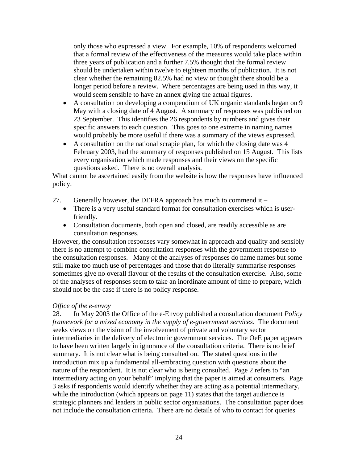only those who expressed a view. For example, 10% of respondents welcomed that a formal review of the effectiveness of the measures would take place within three years of publication and a further 7.5% thought that the formal review should be undertaken within twelve to eighteen months of publication. It is not clear whether the remaining 82.5% had no view or thought there should be a longer period before a review. Where percentages are being used in this way, it would seem sensible to have an annex giving the actual figures.

- A consultation on developing a compendium of UK organic standards began on 9 May with a closing date of 4 August. A summary of responses was published on 23 September. This identifies the 26 respondents by numbers and gives their specific answers to each question. This goes to one extreme in naming names would probably be more useful if there was a summary of the views expressed.
- A consultation on the national scrapie plan, for which the closing date was 4 February 2003, had the summary of responses published on 15 August. This lists every organisation which made responses and their views on the specific questions asked. There is no overall analysis.

What cannot be ascertained easily from the website is how the responses have influenced policy.

- 27. Generally however, the DEFRA approach has much to commend it  $-$ 
	- There is a very useful standard format for consultation exercises which is userfriendly.
	- Consultation documents, both open and closed, are readily accessible as are consultation responses.

However, the consultation responses vary somewhat in approach and quality and sensibly there is no attempt to combine consultation responses with the government response to the consultation responses. Many of the analyses of responses do name names but some still make too much use of percentages and those that do literally summarise responses sometimes give no overall flavour of the results of the consultation exercise. Also, some of the analyses of responses seem to take an inordinate amount of time to prepare, which should not be the case if there is no policy response.

#### *Office of the e-envoy*

28. In May 2003 the Office of the e-Envoy published a consultation document *Policy framework for a mixed economy in the supply of e-government services*. The document seeks views on the vision of the involvement of private and voluntary sector intermediaries in the delivery of electronic government services. The OeE paper appears to have been written largely in ignorance of the consultation criteria. There is no brief summary. It is not clear what is being consulted on. The stated questions in the introduction mix up a fundamental all-embracing question with questions about the nature of the respondent. It is not clear who is being consulted. Page 2 refers to "an intermediary acting on your behalf" implying that the paper is aimed at consumers. Page 3 asks if respondents would identify whether they are acting as a potential intermediary, while the introduction (which appears on page 11) states that the target audience is strategic planners and leaders in public sector organisations. The consultation paper does not include the consultation criteria. There are no details of who to contact for queries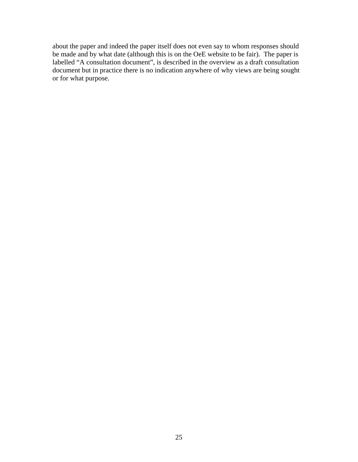about the paper and indeed the paper itself does not even say to whom responses should be made and by what date (although this is on the OeE website to be fair). The paper is labelled "A consultation document", is described in the overview as a draft consultation document but in practice there is no indication anywhere of why views are being sought or for what purpose.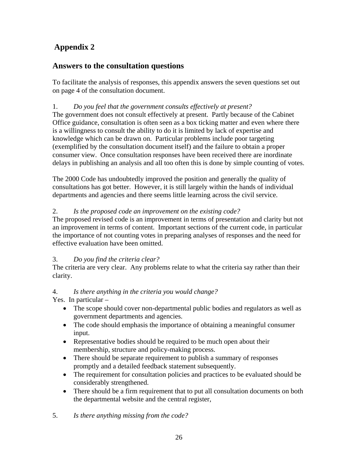# **Appendix 2**

## **Answers to the consultation questions**

To facilitate the analysis of responses, this appendix answers the seven questions set out on page 4 of the consultation document.

## 1. *Do you feel that the government consults effectively at present?*

The government does not consult effectively at present. Partly because of the Cabinet Office guidance, consultation is often seen as a box ticking matter and even where there is a willingness to consult the ability to do it is limited by lack of expertise and knowledge which can be drawn on. Particular problems include poor targeting (exemplified by the consultation document itself) and the failure to obtain a proper consumer view. Once consultation responses have been received there are inordinate delays in publishing an analysis and all too often this is done by simple counting of votes.

The 2000 Code has undoubtedly improved the position and generally the quality of consultations has got better. However, it is still largely within the hands of individual departments and agencies and there seems little learning across the civil service.

## 2. *Is the proposed code an improvement on the existing code?*

The proposed revised code is an improvement in terms of presentation and clarity but not an improvement in terms of content. Important sections of the current code, in particular the importance of not counting votes in preparing analyses of responses and the need for effective evaluation have been omitted.

## 3. *Do you find the criteria clear?*

The criteria are very clear. Any problems relate to what the criteria say rather than their clarity.

## 4. *Is there anything in the criteria you would change?*

Yes. In particular –

- The scope should cover non-departmental public bodies and regulators as well as government departments and agencies.
- The code should emphasis the importance of obtaining a meaningful consumer input.
- Representative bodies should be required to be much open about their membership, structure and policy-making process.
- There should be separate requirement to publish a summary of responses promptly and a detailed feedback statement subsequently.
- The requirement for consultation policies and practices to be evaluated should be considerably strengthened.
- There should be a firm requirement that to put all consultation documents on both the departmental website and the central register,
- 5. *Is there anything missing from the code?*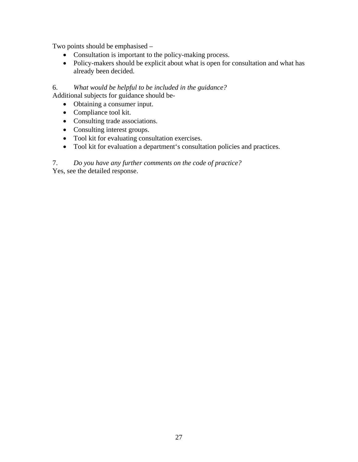Two points should be emphasised –

- Consultation is important to the policy-making process.
- Policy-makers should be explicit about what is open for consultation and what has already been decided.

6. *What would be helpful to be included in the guidance?*  Additional subjects for guidance should be-

- Obtaining a consumer input.
- Compliance tool kit.
- Consulting trade associations.
- Consulting interest groups.
- Tool kit for evaluating consultation exercises.
- Tool kit for evaluation a department's consultation policies and practices.

## 7. *Do you have any further comments on the code of practice?*

Yes, see the detailed response.